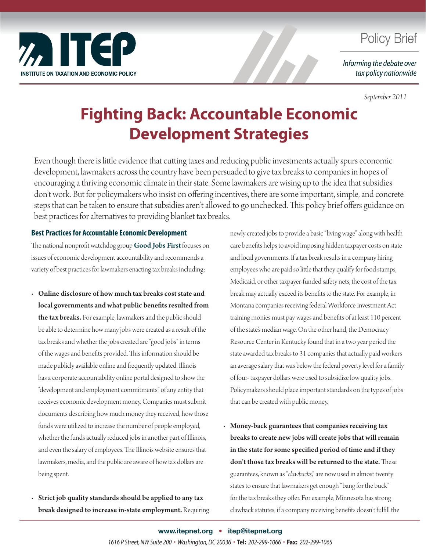

## **Policy Brief**

Informing the debate over tax policy nationwide

*September 2011*

# **Fighting Back: Accountable Economic Development Strategies**

Even though there is little evidence that cutting taxes and reducing public investments actually spurs economic development, lawmakers across the country have been persuaded to give tax breaks to companies in hopes of encouraging a thriving economic climate in their state. Some lawmakers are wising up to the idea that subsidies don't work. But for policymakers who insist on offering incentives, there are some important, simple, and concrete steps that can be taken to ensure that subsidies aren't allowed to go unchecked. This policy brief offers guidance on best practices for alternatives to providing blanket tax breaks.

### **Best Practices for Accountable Economic Development**

The national nonprofit watchdog group [Good Jobs First](http://www.goodjobsfirst.org/) focuses on issues of economic development accountability and recommends a variety of best practices for lawmakers enacting tax breaks including:

• Online disclosure of how much tax breaks cost state and local governments and what public benefits resulted from the tax breaks. For example, lawmakers and the public should be able to determine how many jobs were created as a result of the tax breaks and whether the jobs created are "good jobs" in terms of the wages and benefits provided. This information should be made publicly available online and frequently updated. Illinois has a corporate accountability online portal designed to show the "development and employment commitments" of any entity that receives economic development money. Companies must submit documents describing how much money they received, how those funds were utilized to increase the number of people employed, whether the funds actually reduced jobs in another part of Illinois, and even the salary of employees. The Illinois website ensures that lawmakers, media, and the public are aware of how tax dollars are being spent.

Strict job quality standards should be applied to any tax break designed to increase in-state employment. Requiring newly created jobs to provide a basic "living wage" along with health care benefits helps to avoid imposing hidden taxpayer costs on state and local governments. If a tax break results in a company hiring employees who are paid so little that they qualify for food stamps, Medicaid, or other taxpayer-funded safety nets, the cost of the tax break may actually exceed its benefits to the state. For example, in Montana companies receiving federal Workforce Investment Act training monies must pay wages and benefits of at least 110 percent of the state's median wage. On the other hand, the Democracy Resource Center in Kentucky found that in a two year period the state awarded tax breaks to 31 companies that actually paid workers an average salary that was below the federal poverty level for a family of four- taxpayer dollars were used to subsidize low quality jobs. Policymakers should place important standards on the types of jobs that can be created with public money.

• Money-back guarantees that companies receiving tax breaks to create new jobs will create jobs that will remain in the state for some specified period of time and if they don't those tax breaks will be returned to the state. These guarantees, known as "*clawbacks*," are now used in almost twenty states to ensure that lawmakers get enough "bang for the buck" for the tax breaks they offer. For example, Minnesota has strong clawback statutes, if a company receiving benefits doesn't fulfill the